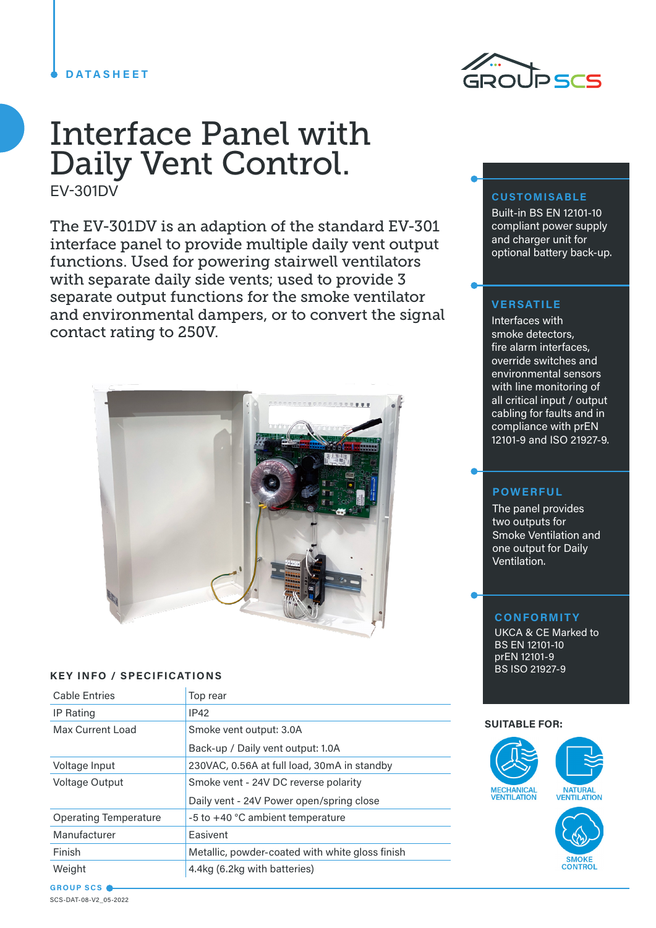## **DATASHEET**



The EV-301DV is an adaption of the standard EV-301 interface panel to provide multiple daily vent output functions. Used for powering stairwell ventilators with separate daily side vents; used to provide 3 separate output functions for the smoke ventilator and environmental dampers, or to convert the signal contact rating to 250V.



### **KEY INFO / SPECIFICATIONS**

| <b>Cable Entries</b>         | Top rear                                        |
|------------------------------|-------------------------------------------------|
| <b>IP Rating</b>             | <b>IP42</b>                                     |
| Max Current Load             | Smoke vent output: 3.0A                         |
|                              | Back-up / Daily vent output: 1.0A               |
| Voltage Input                | 230VAC, 0.56A at full load, 30mA in standby     |
| Voltage Output               | Smoke vent - 24V DC reverse polarity            |
|                              | Daily vent - 24V Power open/spring close        |
| <b>Operating Temperature</b> | $-5$ to $+40$ °C ambient temperature            |
| Manufacturer                 | Easivent                                        |
| Finish                       | Metallic, powder-coated with white gloss finish |
| Weight                       | 4.4kg (6.2kg with batteries)                    |
|                              |                                                 |



### **CUSTOMISABLE**

Built-in BS EN 12101-10 compliant power supply and charger unit for optional battery back-up.

## **VERSATILE**

Interfaces with smoke detectors, fire alarm interfaces, override switches and environmental sensors with line monitoring of all critical input / output cabling for faults and in compliance with prEN 12101-9 and ISO 21927-9.

### **POWERFUL**

The panel provides two outputs for Smoke Ventilation and one output for Daily Ventilation.

#### **CONFORMITY**

UKCA & CE Marked to BS EN 12101-10 prEN 12101-9 BS ISO 21927-9

#### **SUITABLE FOR:**



**GROUP SCS** SCS-DAT-08-V2\_05-2022